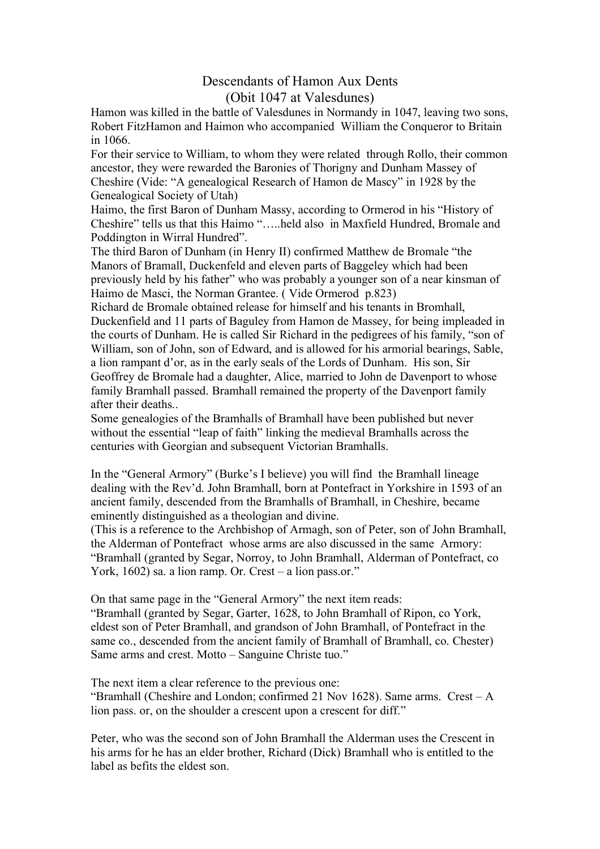## Descendants of Hamon Aux Dents (Obit 1047 at Valesdunes)

Hamon was killed in the battle of Valesdunes in Normandy in 1047, leaving two sons, Robert FitzHamon and Haimon who accompanied William the Conqueror to Britain in 1066.

For their service to William, to whom they were related through Rollo, their common ancestor, they were rewarded the Baronies of Thorigny and Dunham Massey of Cheshire (Vide: "A genealogical Research of Hamon de Mascy" in 1928 by the Genealogical Society of Utah)

Haimo, the first Baron of Dunham Massy, according to Ormerod in his "History of Cheshire" tells us that this Haimo "…..held also in Maxfield Hundred, Bromale and Poddington in Wirral Hundred".

The third Baron of Dunham (in Henry II) confirmed Matthew de Bromale "the Manors of Bramall, Duckenfeld and eleven parts of Baggeley which had been previously held by his father" who was probably a younger son of a near kinsman of Haimo de Masci, the Norman Grantee. ( Vide Ormerod p.823)

Richard de Bromale obtained release for himself and his tenants in Bromhall, Duckenfield and 11 parts of Baguley from Hamon de Massey, for being impleaded in the courts of Dunham. He is called Sir Richard in the pedigrees of his family, "son of William, son of John, son of Edward, and is allowed for his armorial bearings, Sable, a lion rampant d'or, as in the early seals of the Lords of Dunham. His son, Sir Geoffrey de Bromale had a daughter, Alice, married to John de Davenport to whose family Bramhall passed. Bramhall remained the property of the Davenport family after their deaths..

Some genealogies of the Bramhalls of Bramhall have been published but never without the essential "leap of faith" linking the medieval Bramhalls across the centuries with Georgian and subsequent Victorian Bramhalls.

In the "General Armory" (Burke's I believe) you will find the Bramhall lineage dealing with the Rev'd. John Bramhall, born at Pontefract in Yorkshire in 1593 of an ancient family, descended from the Bramhalls of Bramhall, in Cheshire, became eminently distinguished as a theologian and divine.

(This is a reference to the Archbishop of Armagh, son of Peter, son of John Bramhall, the Alderman of Pontefract whose arms are also discussed in the same Armory: "Bramhall (granted by Segar, Norroy, to John Bramhall, Alderman of Pontefract, co York, 1602) sa. a lion ramp. Or. Crest – a lion pass.or."

On that same page in the "General Armory" the next item reads: "Bramhall (granted by Segar, Garter, 1628, to John Bramhall of Ripon, co York, eldest son of Peter Bramhall, and grandson of John Bramhall, of Pontefract in the same co., descended from the ancient family of Bramhall of Bramhall, co. Chester) Same arms and crest. Motto – Sanguine Christe tuo."

The next item a clear reference to the previous one:

"Bramhall (Cheshire and London; confirmed 21 Nov 1628). Same arms. Crest  $-A$ lion pass. or, on the shoulder a crescent upon a crescent for diff."

Peter, who was the second son of John Bramhall the Alderman uses the Crescent in his arms for he has an elder brother, Richard (Dick) Bramhall who is entitled to the label as befits the eldest son.